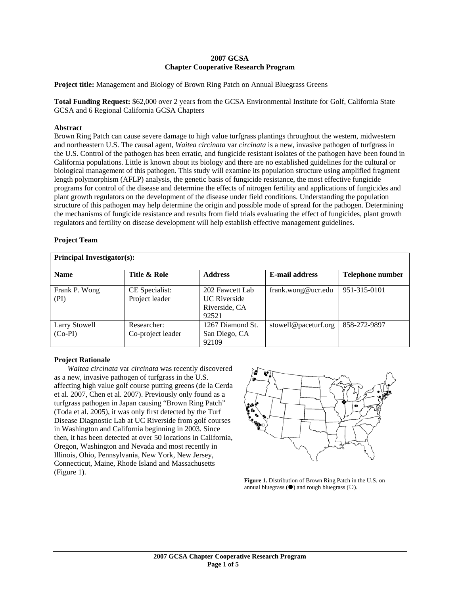## **2007 GCSA Chapter Cooperative Research Program**

**Project title:** Management and Biology of Brown Ring Patch on Annual Bluegrass Greens

**Total Funding Request:** \$62,000 over 2 years from the GCSA Environmental Institute for Golf, California State GCSA and 6 Regional California GCSA Chapters

## **Abstract**

Brown Ring Patch can cause severe damage to high value turfgrass plantings throughout the western, midwestern and northeastern U.S. The causal agent, *Waitea circinata* var *circinata* is a new, invasive pathogen of turfgrass in the U.S. Control of the pathogen has been erratic, and fungicide resistant isolates of the pathogen have been found in California populations. Little is known about its biology and there are no established guidelines for the cultural or biological management of this pathogen. This study will examine its population structure using amplified fragment length polymorphism (AFLP) analysis, the genetic basis of fungicide resistance, the most effective fungicide programs for control of the disease and determine the effects of nitrogen fertility and applications of fungicides and plant growth regulators on the development of the disease under field conditions. Understanding the population structure of this pathogen may help determine the origin and possible mode of spread for the pathogen. Determining the mechanisms of fungicide resistance and results from field trials evaluating the effect of fungicides, plant growth regulators and fertility on disease development will help establish effective management guidelines.

# **Project Team**

| <b>Principal Investigator(s):</b> |                                  |                                                                  |                       |                  |  |
|-----------------------------------|----------------------------------|------------------------------------------------------------------|-----------------------|------------------|--|
| <b>Name</b>                       | Title & Role                     | <b>Address</b>                                                   | <b>E-mail address</b> | Telephone number |  |
| Frank P. Wong<br>(PI)             | CE Specialist:<br>Project leader | 202 Fawcett Lab<br><b>UC</b> Riverside<br>Riverside, CA<br>92521 | frank.wong@ucr.edu    | 951-315-0101     |  |
| <b>Larry Stowell</b><br>$(Co-PI)$ | Researcher:<br>Co-project leader | 1267 Diamond St.<br>San Diego, CA<br>92109                       | stowell@paceturf.org  | 858-272-9897     |  |

## **Project Rationale**

*Waitea circinata* var *circinata* was recently discovered as a new, invasive pathogen of turfgrass in the U.S. affecting high value golf course putting greens (de la Cerda et al. 2007, Chen et al. 2007). Previously only found as a turfgrass pathogen in Japan causing "Brown Ring Patch" (Toda et al. 2005), it was only first detected by the Turf Disease Diagnostic Lab at UC Riverside from golf courses in Washington and California beginning in 2003. Since then, it has been detected at over 50 locations in California, Oregon, Washington and Nevada and most recently in Illinois, Ohio, Pennsylvania, New York, New Jersey, Connecticut, Maine, Rhode Island and Massachusetts (Figure 1).



**Figure 1.** Distribution of Brown Ring Patch in the U.S. on annual bluegrass  $(\bullet)$  and rough bluegrass  $(\bigcirc)$ .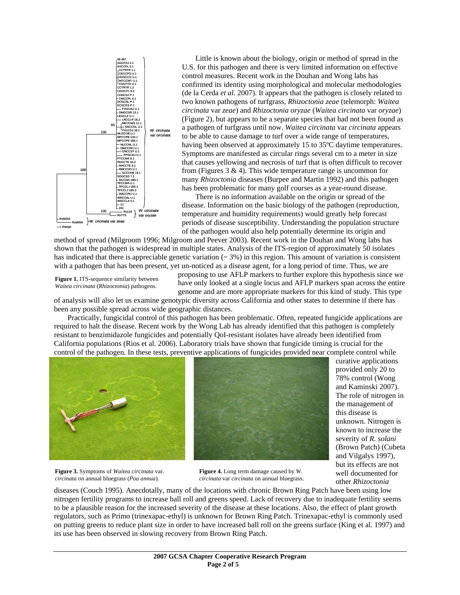

 Little is known about the biology, origin or method of spread in the U.S. for this pathogen and there is very limited information on effective control measures. Recent work in the Douhan and Wong labs has confirmed its identity using morphological and molecular methodologies (de la Cerda *et al.* 2007). It appears that the pathogen is closely related to two known pathogens of turfgrass, *Rhizoctonia zeae* (telemorph: *Waitea circinata* var *zeae*) and *Rhizoctonia oryzae* (*Waitea circinata* var *oryzae*) (Figure 2), but appears to be a separate species that had not been found as a pathogen of turfgrass until now. *Waitea circinata* var *circinata* appears to be able to cause damage to turf over a wide range of temperatures, having been observed at approximately 15 to 35ºC daytime temperatures. Symptoms are manifested as circular rings several cm to a meter in size that causes yellowing and necrosis of turf that is often difficult to recover from (Figures  $3 \& 4$ ). This wide temperature range is uncommon for many *Rhizoctonia* diseases (Burpee and Martin 1992) and this pathogen has been problematic for many golf courses as a year-round disease.

 There is no information available on the origin or spread of the disease. Information on the basic biology of the pathogen (reproduction, temperature and humidity requirements) would greatly help forecast periods of disease susceptibility. Understanding the population structure of the pathogen would also help potentially determine its origin and

method of spread (Milgroom 1996; Milgroom and Peever 2003). Recent work in the Douhan and Wong labs has shown that the pathogen is widespread in multiple states. Analysis of the ITS-region of approximately 50 isolates has indicated that there is appreciable genetic variation  $($   $\sim$  3%) in this region. This amount of variation is consistent with a pathogen that has been present, yet un-noticed as a disease agent, for a long period of time. Thus, we are

**Figure 1.** ITS-sequence similarity between *Waitea circinata* (*Rhizoctonia*) pathogens.

proposing to use AFLP markers to further explore this hypothesis since we have only looked at a single locus and AFLP markers span across the entire genome and are more appropriate markers for this kind of study. This type

of analysis will also let us examine genotypic diversity across California and other states to determine if there has been any possible spread across wide geographic distances.

 Practically, fungicidal control of this pathogen has been problematic. Often, repeated fungicide applications are required to halt the disease. Recent work by the Wong Lab has already identified that this pathogen is completely resistant to benzimidazole fungicides and potentially QoI-resistant isolates have already been identified from California populations (Rios et al*.* 2006). Laboratory trials have shown that fungicide timing is crucial for the control of the pathogen. In these tests, preventive applications of fungicides provided near complete control while





curative applications provided only 20 to 78% control (Wong and Kaminski 2007). The role of nitrogen in the management of this disease is unknown. Nitrogen is known to increase the severity of *R. solani* (Brown Patch) (Cubeta and Vilgalys 1997), but its effects are not well documented for other *Rhizoctonia*

**Figure 3.** Symptoms of *Waitea circinata* var. *circinata* on annual bluegrass (*Poa annua*).

**Figure 4.** Long term damage caused by *W. circinata* var *circinata* on annual bluegrass.

diseases (Couch 1995). Anecdotally, many of the locations with chronic Brown Ring Patch have been using low nitrogen fertility programs to increase ball roll and greens speed. Lack of recovery due to inadequate fertility seems to be a plausible reason for the increased severity of the disease at these locations. Also, the effect of plant growth regulators, such as Primo (trinexapac-ethyl) is unknown for Brown Ring Patch. Trinexapac-ethyl is commonly used on putting greens to reduce plant size in order to have increased ball roll on the greens surface (King et al. 1997) and its use has been observed in slowing recovery from Brown Ring Patch.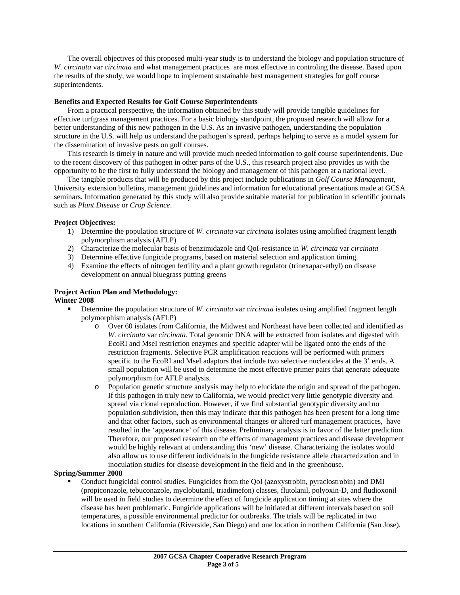The overall objectives of this proposed multi-year study is to understand the biology and population structure of *W. circinata* var *circinata* and what management practices are most effective in controling the disease. Based upon the results of the study, we would hope to implement sustainable best management strategies for golf course superintendents.

### **Benefits and Expected Results for Golf Course Superintendents**

 From a practical perspective, the information obtained by this study will provide tangible guidelines for effective turfgrass management practices. For a basic biology standpoint, the proposed research will allow for a better understanding of this new pathogen in the U.S. As an invasive pathogen, understanding the population structure in the U.S. will help us understand the pathogen's spread, perhaps helping to serve as a model system for the dissemination of invasive pests on golf courses.

 This research is timely in nature and will provide much needed information to golf course superintendents. Due to the recent discovery of this pathogen in other parts of the U.S., this research project also provides us with the opportunity to be the first to fully understand the biology and management of this pathogen at a national level.

 The tangible products that will be produced by this project include publications in *Golf Course Management*, University extension bulletins, management guidelines and information for educational presentations made at GCSA seminars. Information generated by this study will also provide suitable material for publication in scientific journals such as *Plant Disease* or *Crop Science*.

### **Project Objectives:**

- 1) Determine the population structure of *W. circinata* var *circinata* isolates using amplified fragment length polymorphism analysis (AFLP)
- 2) Characterize the molecular basis of benzimidazole and QoI-resistance in *W. circinata* var *circinata*
- 3) Determine effective fungicide programs, based on material selection and application timing.
- 4) Examine the effects of nitrogen fertility and a plant growth regulator (trinexapac-ethyl) on disease development on annual bluegrass putting greens

### **Project Action Plan and Methodology:**

### **Winter 2008**

- Determine the population structure of *W. circinata* var *circinata* isolates using amplified fragment length polymorphism analysis (AFLP)
	- o Over 60 isolates from California, the Midwest and Northeast have been collected and identified as *W. circinata* var *circinata*. Total genomic DNA will be extracted from isolates and digested with EcoRI and MseI restriction enzymes and specific adapter will be ligated onto the ends of the restriction fragments. Selective PCR amplification reactions will be performed with primers specific to the EcoRI and MseI adaptors that include two selective nucleotides at the 3' ends. A small population will be used to determine the most effective primer pairs that generate adequate polymorphism for AFLP analysis.
	- o Population genetic structure analysis may help to elucidate the origin and spread of the pathogen. If this pathogen in truly new to California, we would predict very little genotypic diversity and spread via clonal reproduction. However, if we find substantial genotypic diversity and no population subdivision, then this may indicate that this pathogen has been present for a long time and that other factors, such as environmental changes or altered turf management practices, have resulted in the 'appearance' of this disease. Preliminary analysis is in favor of the latter prediction. Therefore, our proposed research on the effects of management practices and disease development would be highly relevant at understanding this 'new' disease. Characterizing the isolates would also allow us to use different individuals in the fungicide resistance allele characterization and in inoculation studies for disease development in the field and in the greenhouse.

#### **Spring/Summer 2008**

 Conduct fungicidal control studies. Fungicides from the QoI (azoxystrobin, pyraclostrobin) and DMI (propiconazole, tebuconazole, myclobutanil, triadimefon) classes, flutolanil, polyoxin-D, and fludioxonil will be used in field studies to determine the effect of fungicide application timing at sites where the disease has been problematic. Fungicide applications will be initiated at different intervals based on soil temperatures, a possible environmental predictor for outbreaks. The trials will be replicated in two locations in southern California (Riverside, San Diego) and one location in northern California (San Jose).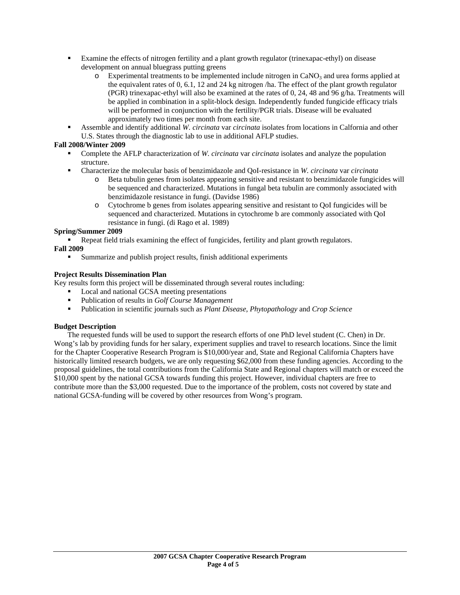- Examine the effects of nitrogen fertility and a plant growth regulator (trinexapac-ethyl) on disease development on annual bluegrass putting greens
	- $\circ$  Experimental treatments to be implemented include nitrogen in CaNO<sub>3</sub> and urea forms applied at the equivalent rates of 0, 6.1, 12 and 24 kg nitrogen /ha. The effect of the plant growth regulator (PGR) trinexapac-ethyl will also be examined at the rates of 0, 24, 48 and 96 g/ha. Treatments will be applied in combination in a split-block design. Independently funded fungicide efficacy trials will be performed in conjunction with the fertility/PGR trials. Disease will be evaluated approximately two times per month from each site.
- Assemble and identify additional *W. circinata* var *circinata* isolates from locations in Calfornia and other U.S. States through the diagnostic lab to use in additional AFLP studies.

# **Fall 2008/Winter 2009**

- Complete the AFLP characterization of *W. circinata* var *circinata* isolates and analyze the population structure.
- Characterize the molecular basis of benzimidazole and QoI-resistance in *W. circinata* var *circinata*
	- o Beta tubulin genes from isolates appearing sensitive and resistant to benzimidazole fungicides will be sequenced and characterized. Mutations in fungal beta tubulin are commonly associated with benzimidazole resistance in fungi. (Davidse 1986)
	- o Cytochrome b genes from isolates appearing sensitive and resistant to QoI fungicides will be sequenced and characterized. Mutations in cytochrome b are commonly associated with QoI resistance in fungi. (di Rago et al. 1989)

# **Spring/Summer 2009**

Repeat field trials examining the effect of fungicides, fertility and plant growth regulators.

## **Fall 2009**

Summarize and publish project results, finish additional experiments

# **Project Results Dissemination Plan**

Key results form this project will be disseminated through several routes including:

- Local and national GCSA meeting presentations
- Publication of results in *Golf Course Management*
- Publication in scientific journals such as *Plant Disease*, *Phytopathology* and *Crop Science*

# **Budget Description**

 The requested funds will be used to support the research efforts of one PhD level student (C. Chen) in Dr. Wong's lab by providing funds for her salary, experiment supplies and travel to research locations. Since the limit for the Chapter Cooperative Research Program is \$10,000/year and, State and Regional California Chapters have historically limited research budgets, we are only requesting \$62,000 from these funding agencies. According to the proposal guidelines, the total contributions from the California State and Regional chapters will match or exceed the \$10,000 spent by the national GCSA towards funding this project. However, individual chapters are free to contribute more than the \$3,000 requested. Due to the importance of the problem, costs not covered by state and national GCSA-funding will be covered by other resources from Wong's program.